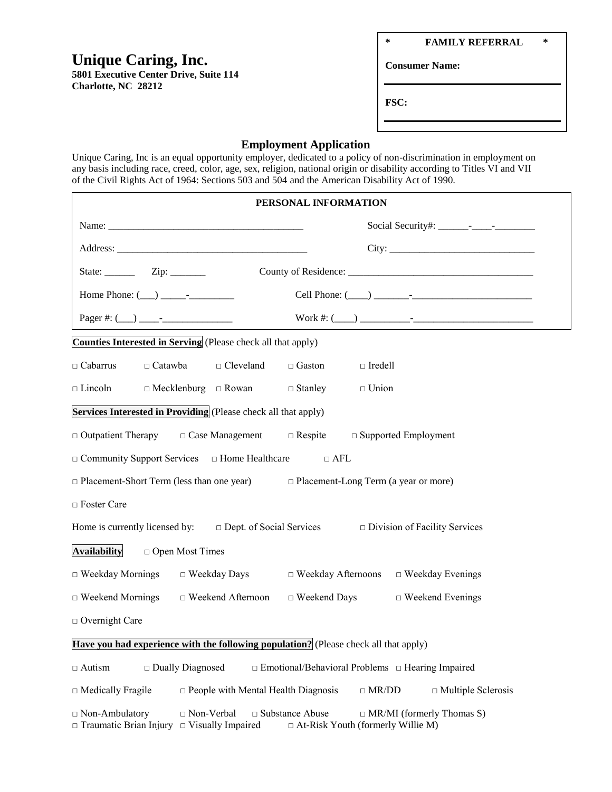# **Unique Caring, Inc.**

**5801 Executive Center Drive, Suite 114 Charlotte, NC 28212**

**\* FAMILY REFERRAL \***

**Consumer Name:**

**FSC:**

## **Employment Application**

Unique Caring, Inc is an equal opportunity employer, dedicated to a policy of non-discrimination in employment on any basis including race, creed, color, age, sex, religion, national origin or disability according to Titles VI and VII of the Civil Rights Act of 1964: Sections 503 and 504 and the American Disability Act of 1990.

| PERSONAL INFORMATION                                                                                                                                                                                         |  |  |  |  |  |  |
|--------------------------------------------------------------------------------------------------------------------------------------------------------------------------------------------------------------|--|--|--|--|--|--|
|                                                                                                                                                                                                              |  |  |  |  |  |  |
|                                                                                                                                                                                                              |  |  |  |  |  |  |
| State: $\frac{\qquad \qquad \text{Zip: } \qquad \qquad }$                                                                                                                                                    |  |  |  |  |  |  |
|                                                                                                                                                                                                              |  |  |  |  |  |  |
|                                                                                                                                                                                                              |  |  |  |  |  |  |
| Counties Interested in Serving (Please check all that apply)                                                                                                                                                 |  |  |  |  |  |  |
| $\Box$ Catawba<br>$\Box$ Cleveland<br>$\Box$ Cabarrus<br>$\Box$ Gaston<br>$\Box$ Iredell                                                                                                                     |  |  |  |  |  |  |
| $\Box$ Mecklenburg $\Box$ Rowan $\Box$ Stanley<br>$\Box$ Lincoln<br>$\Box$ Union                                                                                                                             |  |  |  |  |  |  |
| Services Interested in Providing (Please check all that apply)                                                                                                                                               |  |  |  |  |  |  |
| $\Box$ Outpatient Therapy $\Box$ Case Management $\Box$ Respite $\Box$ Supported Employment                                                                                                                  |  |  |  |  |  |  |
| $\Box$ Community Support Services $\Box$ Home Healthcare<br>$\Box$ AFL                                                                                                                                       |  |  |  |  |  |  |
| $\Box$ Placement-Short Term (less than one year) $\Box$ Placement-Long Term (a year or more)                                                                                                                 |  |  |  |  |  |  |
| □ Foster Care                                                                                                                                                                                                |  |  |  |  |  |  |
| Home is currently licensed by: $\Box$ Dept. of Social Services $\Box$ Division of Facility Services                                                                                                          |  |  |  |  |  |  |
| <b>Availability</b><br>$\Box$ Open Most Times                                                                                                                                                                |  |  |  |  |  |  |
| $\Box$ Weekday Mornings $\Box$ Weekday Days<br>$\Box$ Weekday Afternoons $\Box$ Weekday Evenings                                                                                                             |  |  |  |  |  |  |
| $\Box$ Weekend Mornings<br>$\Box$ Weekend Afternoon<br>$\Box$ Weekend Days<br>$\Box$ Weekend Evenings                                                                                                        |  |  |  |  |  |  |
| $\Box$ Overnight Care                                                                                                                                                                                        |  |  |  |  |  |  |
| Have you had experience with the following population? (Please check all that apply)                                                                                                                         |  |  |  |  |  |  |
| $\square$ Dually Diagnosed<br>$\Box$ Emotional/Behavioral Problems $\Box$ Hearing Impaired<br>$\Box$ Autism                                                                                                  |  |  |  |  |  |  |
| $\square$ People with Mental Health Diagnosis<br>$\Box$ MR/DD<br>$\Box$ Medically Fragile<br>$\Box$ Multiple Sclerosis                                                                                       |  |  |  |  |  |  |
| □ Substance Abuse<br>$\Box$ Non-Ambulatory<br>$\Box$ Non-Verbal<br>$\Box$ MR/MI (formerly Thomas S)<br>$\Box$ Traumatic Brian Injury<br>$\Box$ Visually Impaired<br>$\Box$ At-Risk Youth (formerly Willie M) |  |  |  |  |  |  |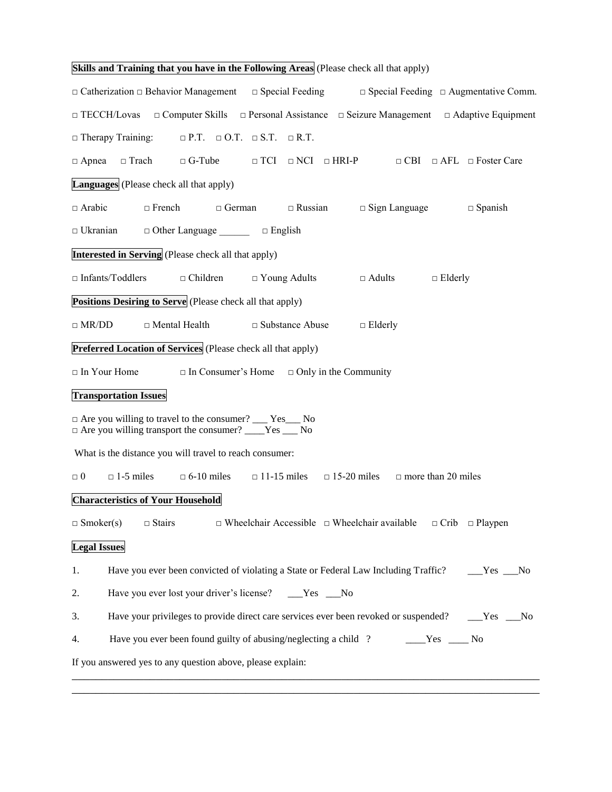| Skills and Training that you have in the Following Areas (Please check all that apply)                                                    |  |  |  |  |  |  |
|-------------------------------------------------------------------------------------------------------------------------------------------|--|--|--|--|--|--|
| $\Box$ Special Feeding $\Box$ Augmentative Comm.<br>$\Box$ Catherization $\Box$ Behavior Management<br>$\Box$ Special Feeding             |  |  |  |  |  |  |
| $\Box$ TECCH/Lovas $\Box$ Computer Skills $\Box$ Personal Assistance $\Box$ Seizure Management $\Box$ Adaptive Equipment                  |  |  |  |  |  |  |
| $\Box$ Therapy Training: $\Box$ P.T. $\Box$ O.T. $\Box$ S.T. $\Box$ R.T.                                                                  |  |  |  |  |  |  |
| $\Box$ Trach<br>$\Box$ TCI $\Box$ NCI $\Box$ HRI-P<br>$\Box$ CBI $\Box$ AFL $\Box$ Foster Care<br>$\Box$ G-Tube<br>$\Box$ Apnea           |  |  |  |  |  |  |
| <b>Languages</b> (Please check all that apply)                                                                                            |  |  |  |  |  |  |
| $\Box$ French<br>$\Box$ Arabic<br>$\Box$ German<br>$\Box$ Russian<br>$\Box$ Sign Language<br>$\Box$ Spanish                               |  |  |  |  |  |  |
| $\Box$ Ukranian<br>$\Box$ Other Language $\Box$ $\Box$ English                                                                            |  |  |  |  |  |  |
| <b>Interested in Serving</b> (Please check all that apply)                                                                                |  |  |  |  |  |  |
| $\Box$ Infants/Toddlers<br>$\Box$ Children<br>$\Box$ Young Adults<br>$\Box$ Adults<br>$\Box$ Elderly                                      |  |  |  |  |  |  |
| <b>Positions Desiring to Serve</b> (Please check all that apply)                                                                          |  |  |  |  |  |  |
| $\Box$ MR/DD<br>$\Box$ Mental Health<br>$\square$ Substance Abuse<br>$\Box$ Elderly                                                       |  |  |  |  |  |  |
| <b>Preferred Location of Services</b> (Please check all that apply)                                                                       |  |  |  |  |  |  |
| $\Box$ In Your Home<br>$\Box$ In Consumer's Home $\Box$ Only in the Community                                                             |  |  |  |  |  |  |
| <b>Transportation Issues</b>                                                                                                              |  |  |  |  |  |  |
| $\Box$ Are you willing to travel to the consumer? ___ Yes___ No<br>$\Box$ Are you willing transport the consumer? ____Yes ___ No          |  |  |  |  |  |  |
| What is the distance you will travel to reach consumer:                                                                                   |  |  |  |  |  |  |
| $\Box$ 1-5 miles<br>$\Box$ 6-10 miles<br>$\Box$ 11-15 miles $\Box$ 15-20 miles<br>$\Box$ more than 20 miles<br>$\Box$ $0$                 |  |  |  |  |  |  |
| <b>Characteristics of Your Household</b>                                                                                                  |  |  |  |  |  |  |
| $\Box$ Wheelchair Accessible $\Box$ Wheelchair available<br>$\Box$ Smoker(s)<br>$\Box$ Stairs<br>$\Box$ Crib $\Box$ Playpen               |  |  |  |  |  |  |
| <b>Legal Issues</b>                                                                                                                       |  |  |  |  |  |  |
| 1.<br>Have you ever been convicted of violating a State or Federal Law Including Traffic?<br>$Yes$ No                                     |  |  |  |  |  |  |
| 2.<br>Have you ever lost your driver's license? _____Yes ____No                                                                           |  |  |  |  |  |  |
| 3.<br>Have your privileges to provide direct care services ever been revoked or suspended?<br>___Yes ___No                                |  |  |  |  |  |  |
| Have you ever been found guilty of abusing/neglecting a child ?<br>4.<br>$\rule{1em}{0.15mm}$ $\qquad \qquad$ Yes $\rule{1em}{0.15mm}$ No |  |  |  |  |  |  |
| If you answered yes to any question above, please explain:                                                                                |  |  |  |  |  |  |

\_\_\_\_\_\_\_\_\_\_\_\_\_\_\_\_\_\_\_\_\_\_\_\_\_\_\_\_\_\_\_\_\_\_\_\_\_\_\_\_\_\_\_\_\_\_\_\_\_\_\_\_\_\_\_\_\_\_\_\_\_\_\_\_\_\_\_\_\_\_\_\_\_\_\_\_\_\_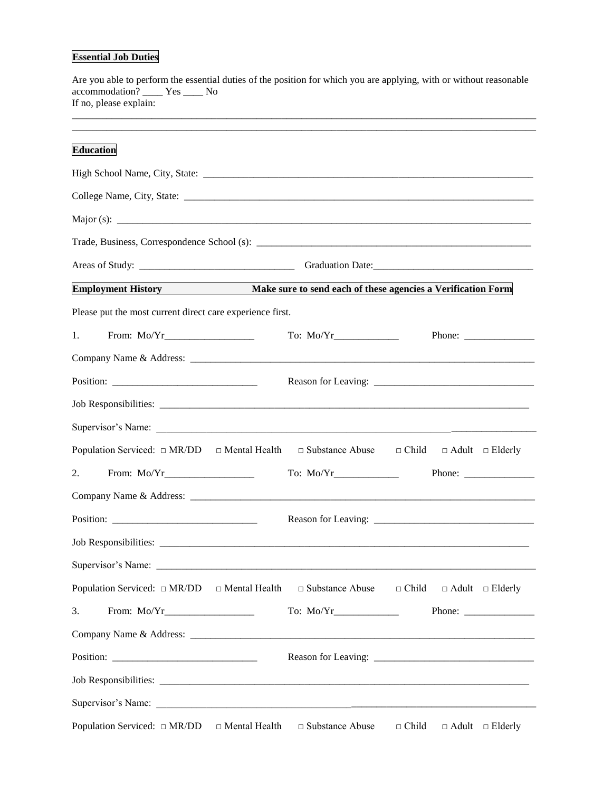## **Essential Job Duties**

| accommodation? ____ Yes ____ No<br>If no, please explain:                                                              |              |                                                                                                                                                                                                                                                                                                                                                                                                                          |
|------------------------------------------------------------------------------------------------------------------------|--------------|--------------------------------------------------------------------------------------------------------------------------------------------------------------------------------------------------------------------------------------------------------------------------------------------------------------------------------------------------------------------------------------------------------------------------|
| <b>Education</b>                                                                                                       |              |                                                                                                                                                                                                                                                                                                                                                                                                                          |
|                                                                                                                        |              |                                                                                                                                                                                                                                                                                                                                                                                                                          |
|                                                                                                                        |              |                                                                                                                                                                                                                                                                                                                                                                                                                          |
|                                                                                                                        |              |                                                                                                                                                                                                                                                                                                                                                                                                                          |
|                                                                                                                        |              |                                                                                                                                                                                                                                                                                                                                                                                                                          |
|                                                                                                                        |              |                                                                                                                                                                                                                                                                                                                                                                                                                          |
| Employment History Make sure to send each of these agencies a Verification Form                                        |              |                                                                                                                                                                                                                                                                                                                                                                                                                          |
| Please put the most current direct care experience first.                                                              |              |                                                                                                                                                                                                                                                                                                                                                                                                                          |
| 1.                                                                                                                     |              |                                                                                                                                                                                                                                                                                                                                                                                                                          |
|                                                                                                                        |              |                                                                                                                                                                                                                                                                                                                                                                                                                          |
|                                                                                                                        |              |                                                                                                                                                                                                                                                                                                                                                                                                                          |
|                                                                                                                        |              |                                                                                                                                                                                                                                                                                                                                                                                                                          |
| Supervisor's Name:                                                                                                     |              |                                                                                                                                                                                                                                                                                                                                                                                                                          |
| Population Serviced: $\Box$ MR/DD $\Box$ Mental Health $\Box$ Substance Abuse $\Box$ Child $\Box$ Adult $\Box$ Elderly |              |                                                                                                                                                                                                                                                                                                                                                                                                                          |
| 2.                                                                                                                     |              |                                                                                                                                                                                                                                                                                                                                                                                                                          |
|                                                                                                                        |              |                                                                                                                                                                                                                                                                                                                                                                                                                          |
|                                                                                                                        |              |                                                                                                                                                                                                                                                                                                                                                                                                                          |
|                                                                                                                        |              |                                                                                                                                                                                                                                                                                                                                                                                                                          |
|                                                                                                                        |              |                                                                                                                                                                                                                                                                                                                                                                                                                          |
| Population Serviced: $\Box$ MR/DD $\Box$ Mental Health $\Box$ Substance Abuse                                          | $\Box$ Child | $\Box$ Adult $\Box$ Elderly                                                                                                                                                                                                                                                                                                                                                                                              |
| 3.                                                                                                                     |              | Phone: $\frac{1}{\sqrt{1-\frac{1}{2}}}\frac{1}{\sqrt{1-\frac{1}{2}}}\frac{1}{\sqrt{1-\frac{1}{2}}}\frac{1}{\sqrt{1-\frac{1}{2}}}\frac{1}{\sqrt{1-\frac{1}{2}}}\frac{1}{\sqrt{1-\frac{1}{2}}}\frac{1}{\sqrt{1-\frac{1}{2}}}\frac{1}{\sqrt{1-\frac{1}{2}}}\frac{1}{\sqrt{1-\frac{1}{2}}}\frac{1}{\sqrt{1-\frac{1}{2}}}\frac{1}{\sqrt{1-\frac{1}{2}}}\frac{1}{\sqrt{1-\frac{1}{2}}}\frac{1}{\sqrt{1-\frac{1}{2}}}\frac{1}{$ |
|                                                                                                                        |              |                                                                                                                                                                                                                                                                                                                                                                                                                          |
|                                                                                                                        |              |                                                                                                                                                                                                                                                                                                                                                                                                                          |
|                                                                                                                        |              |                                                                                                                                                                                                                                                                                                                                                                                                                          |
|                                                                                                                        |              |                                                                                                                                                                                                                                                                                                                                                                                                                          |
| Population Serviced: $\Box$ MR/DD $\Box$ Mental Health $\Box$ Substance Abuse                                          | $\Box$ Child | $\Box$ Adult $\Box$ Elderly                                                                                                                                                                                                                                                                                                                                                                                              |

Are you able to perform the essential duties of the position for which you are applying, with or without reasonable